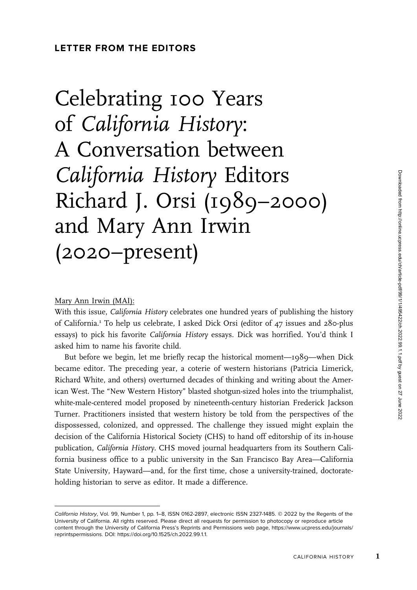# Celebrating 100 Years of California History: A Conversation between California History Editors Richard J. Orsi (1989–2000) and Mary Ann Irwin (2020–present)

# Mary Ann Irwin (MAI):

With this issue, California History celebrates one hundred years of publishing the history of California.<sup>1</sup> To help us celebrate, I asked Dick Orsi (editor of  $47$  issues and 280-plus essays) to pick his favorite California History essays. Dick was horrified. You'd think I asked him to name his favorite child.

But before we begin, let me briefly recap the historical moment—1989—when Dick became editor. The preceding year, a coterie of western historians (Patricia Limerick, Richard White, and others) overturned decades of thinking and writing about the American West. The "New Western History" blasted shotgun-sized holes into the triumphalist, white-male-centered model proposed by nineteenth-century historian Frederick Jackson Turner. Practitioners insisted that western history be told from the perspectives of the dispossessed, colonized, and oppressed. The challenge they issued might explain the decision of the California Historical Society (CHS) to hand off editorship of its in-house publication, California History. CHS moved journal headquarters from its Southern California business office to a public university in the San Francisco Bay Area—California State University, Hayward—and, for the first time, chose a university-trained, doctorateholding historian to serve as editor. It made a difference.

California History, Vol. 99, Number 1, pp. 1–8, ISSN 0162-2897, electronic ISSN 2327-1485. © 2022 by the Regents of the University of California. All rights reserved. Please direct all requests for permission to photocopy or reproduce article content through the University of California Press's Reprints and Permissions web page, [https://www.ucpress.edu/journals/](https://www.ucpress.edu/journals/reprintspermissions) [reprintspermissions](https://www.ucpress.edu/journals/reprintspermissions). [DOI: https://doi.org/10.1525/ch.2022.99.1.1.](https://doi.org/10.1525/ch.2022.99.1.1)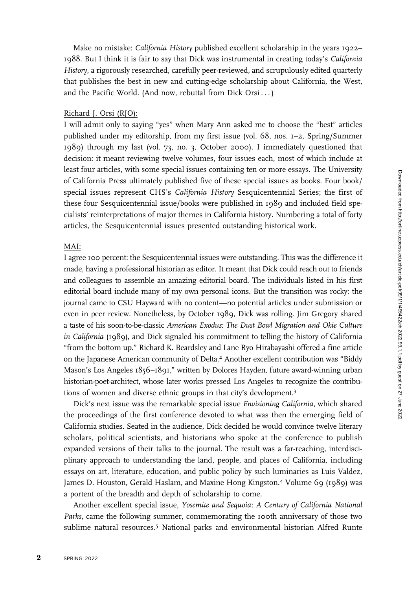Make no mistake: California History published excellent scholarship in the years 1922– 1988. But I think it is fair to say that Dick was instrumental in creating today's California History, a rigorously researched, carefully peer-reviewed, and scrupulously edited quarterly that publishes the best in new and cutting-edge scholarship about California, the West, and the Pacific World. (And now, rebuttal from Dick Orsi ... )

#### Richard J. Orsi (RJO):

I will admit only to saying "yes" when Mary Ann asked me to choose the "best" articles published under my editorship, from my first issue (vol. 68, nos. 1–2, Spring/Summer 1989) through my last (vol. 73, no. 3, October 2000). I immediately questioned that decision: it meant reviewing twelve volumes, four issues each, most of which include at least four articles, with some special issues containing ten or more essays. The University of California Press ultimately published five of these special issues as books. Four book/ special issues represent CHS's California History Sesquicentennial Series; the first of these four Sesquicentennial issue/books were published in 1989 and included field specialists' reinterpretations of major themes in California history. Numbering a total of forty articles, the Sesquicentennial issues presented outstanding historical work.

# MAI:

I agree 100 percent: the Sesquicentennial issues were outstanding. This was the difference it made, having a professional historian as editor. It meant that Dick could reach out to friends and colleagues to assemble an amazing editorial board. The individuals listed in his first editorial board include many of my own personal icons. But the transition was rocky: the journal came to CSU Hayward with no content—no potential articles under submission or even in peer review. Nonetheless, by October 1989, Dick was rolling. Jim Gregory shared a taste of his soon-to-be-classic American Exodus: The Dust Bowl Migration and Okie Culture in California (1989), and Dick signaled his commitment to telling the history of California "from the bottom up." Richard K. Beardsley and Lane Ryo Hirabayashi offered a fine article on the Japanese American community of Delta.<sup>2</sup> Another excellent contribution was "Biddy Mason's Los Angeles 1856–1891," written by Dolores Hayden, future award-winning urban historian-poet-architect, whose later works pressed Los Angeles to recognize the contributions of women and diverse ethnic groups in that city's development.3

Dick's next issue was the remarkable special issue Envisioning California, which shared the proceedings of the first conference devoted to what was then the emerging field of California studies. Seated in the audience, Dick decided he would convince twelve literary scholars, political scientists, and historians who spoke at the conference to publish expanded versions of their talks to the journal. The result was a far-reaching, interdisciplinary approach to understanding the land, people, and places of California, including essays on art, literature, education, and public policy by such luminaries as Luis Valdez, James D. Houston, Gerald Haslam, and Maxine Hong Kingston.<sup>4</sup> Volume 69 (1989) was a portent of the breadth and depth of scholarship to come.

Another excellent special issue, Yosemite and Sequoia: A Century of California National Parks, came the following summer, commemorating the 100th anniversary of those two sublime natural resources.<sup>5</sup> National parks and environmental historian Alfred Runte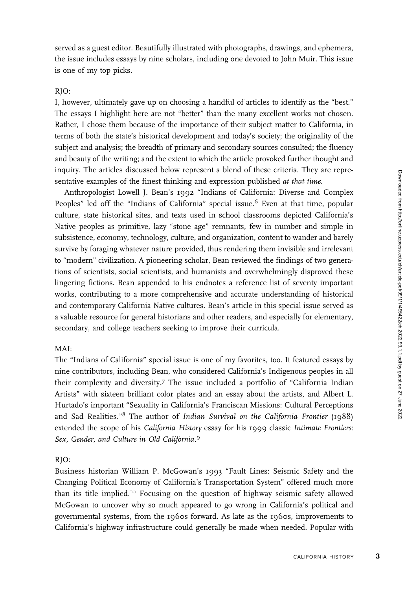served as a guest editor. Beautifully illustrated with photographs, drawings, and ephemera, the issue includes essays by nine scholars, including one devoted to John Muir. This issue is one of my top picks.

# RJO:

I, however, ultimately gave up on choosing a handful of articles to identify as the "best." The essays I highlight here are not "better" than the many excellent works not chosen. Rather, I chose them because of the importance of their subject matter to California, in terms of both the state's historical development and today's society; the originality of the subject and analysis; the breadth of primary and secondary sources consulted; the fluency and beauty of the writing; and the extent to which the article provoked further thought and inquiry. The articles discussed below represent a blend of these criteria. They are representative examples of the finest thinking and expression published at that time.

Anthropologist Lowell J. Bean's 1992 "Indians of California: Diverse and Complex Peoples" led off the "Indians of California" special issue.<sup>6</sup> Even at that time, popular culture, state historical sites, and texts used in school classrooms depicted California's Native peoples as primitive, lazy "stone age" remnants, few in number and simple in subsistence, economy, technology, culture, and organization, content to wander and barely survive by foraging whatever nature provided, thus rendering them invisible and irrelevant to "modern" civilization. A pioneering scholar, Bean reviewed the findings of two generations of scientists, social scientists, and humanists and overwhelmingly disproved these lingering fictions. Bean appended to his endnotes a reference list of seventy important works, contributing to a more comprehensive and accurate understanding of historical and contemporary California Native cultures. Bean's article in this special issue served as a valuable resource for general historians and other readers, and especially for elementary, secondary, and college teachers seeking to improve their curricula.

# MAI:

The "Indians of California" special issue is one of my favorites, too. It featured essays by nine contributors, including Bean, who considered California's Indigenous peoples in all their complexity and diversity.<sup>7</sup> The issue included a portfolio of "California Indian Artists" with sixteen brilliant color plates and an essay about the artists, and Albert L. Hurtado's important "Sexuality in California's Franciscan Missions: Cultural Perceptions and Sad Realities."8 The author of Indian Survival on the California Frontier (1988) extended the scope of his California History essay for his 1999 classic Intimate Frontiers: Sex, Gender, and Culture in Old California.<sup>9</sup>

# RJO:

Business historian William P. McGowan's 1993 "Fault Lines: Seismic Safety and the Changing Political Economy of California's Transportation System" offered much more than its title implied.<sup>10</sup> Focusing on the question of highway seismic safety allowed McGowan to uncover why so much appeared to go wrong in California's political and governmental systems, from the 1960s forward. As late as the 1960s, improvements to California's highway infrastructure could generally be made when needed. Popular with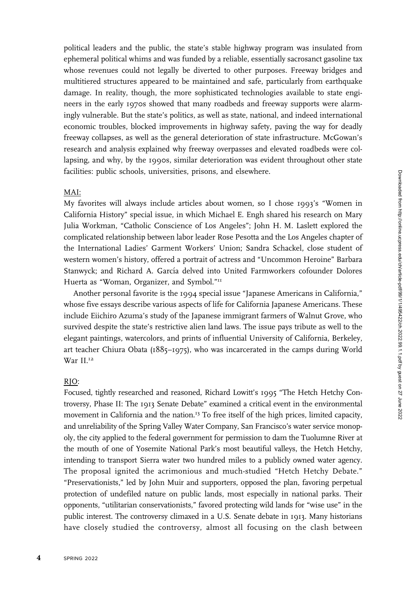political leaders and the public, the state's stable highway program was insulated from ephemeral political whims and was funded by a reliable, essentially sacrosanct gasoline tax whose revenues could not legally be diverted to other purposes. Freeway bridges and multitiered structures appeared to be maintained and safe, particularly from earthquake damage. In reality, though, the more sophisticated technologies available to state engineers in the early 1970s showed that many roadbeds and freeway supports were alarmingly vulnerable. But the state's politics, as well as state, national, and indeed international economic troubles, blocked improvements in highway safety, paving the way for deadly freeway collapses, as well as the general deterioration of state infrastructure. McGowan's research and analysis explained why freeway overpasses and elevated roadbeds were collapsing, and why, by the 1990s, similar deterioration was evident throughout other state facilities: public schools, universities, prisons, and elsewhere.

#### MAI:

My favorites will always include articles about women, so I chose 1993's "Women in California History" special issue, in which Michael E. Engh shared his research on Mary Julia Workman, "Catholic Conscience of Los Angeles"; John H. M. Laslett explored the complicated relationship between labor leader Rose Pesotta and the Los Angeles chapter of the International Ladies' Garment Workers' Union; Sandra Schackel, close student of western women's history, offered a portrait of actress and "Uncommon Heroine" Barbara Stanwyck; and Richard A. García delved into United Farmworkers cofounder Dolores Huerta as "Woman, Organizer, and Symbol."<sup>11</sup>

Another personal favorite is the 1994 special issue "Japanese Americans in California," whose five essays describe various aspects of life for California Japanese Americans. These include Eiichiro Azuma's study of the Japanese immigrant farmers of Walnut Grove, who survived despite the state's restrictive alien land laws. The issue pays tribute as well to the elegant paintings, watercolors, and prints of influential University of California, Berkeley, art teacher Chiura Obata (1885–1975), who was incarcerated in the camps during World  $\text{War II.}^{12}$ 

#### RJO:

Focused, tightly researched and reasoned, Richard Lowitt's 1995 "The Hetch Hetchy Controversy, Phase II: The 1913 Senate Debate" examined a critical event in the environmental movement in California and the nation.<sup>13</sup> To free itself of the high prices, limited capacity, and unreliability of the Spring Valley Water Company, San Francisco's water service monopoly, the city applied to the federal government for permission to dam the Tuolumne River at the mouth of one of Yosemite National Park's most beautiful valleys, the Hetch Hetchy, intending to transport Sierra water two hundred miles to a publicly owned water agency. The proposal ignited the acrimonious and much-studied "Hetch Hetchy Debate." "Preservationists," led by John Muir and supporters, opposed the plan, favoring perpetual protection of undefiled nature on public lands, most especially in national parks. Their opponents, "utilitarian conservationists," favored protecting wild lands for "wise use" in the public interest. The controversy climaxed in a U.S. Senate debate in 1913. Many historians have closely studied the controversy, almost all focusing on the clash between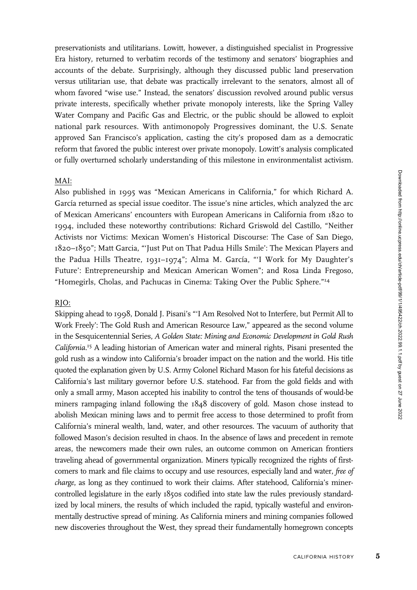Downloaded from http://online.ucpress.edu/ch/article-pdf/99/1/1/495422/ch.2022.99.1.1.pdf by guest on 27 June 2022

preservationists and utilitarians. Lowitt, however, a distinguished specialist in Progressive Era history, returned to verbatim records of the testimony and senators' biographies and accounts of the debate. Surprisingly, although they discussed public land preservation versus utilitarian use, that debate was practically irrelevant to the senators, almost all of whom favored "wise use." Instead, the senators' discussion revolved around public versus private interests, specifically whether private monopoly interests, like the Spring Valley Water Company and Pacific Gas and Electric, or the public should be allowed to exploit national park resources. With antimonopoly Progressives dominant, the U.S. Senate approved San Francisco's application, casting the city's proposed dam as a democratic reform that favored the public interest over private monopoly. Lowitt's analysis complicated or fully overturned scholarly understanding of this milestone in environmentalist activism.

# MAI:

Also published in 1995 was "Mexican Americans in California," for which Richard A. García returned as special issue coeditor. The issue's nine articles, which analyzed the arc of Mexican Americans' encounters with European Americans in California from 1820 to 1994, included these noteworthy contributions: Richard Griswold del Castillo, "Neither Activists nor Victims: Mexican Women's Historical Discourse: The Case of San Diego, 1820–1850"; Matt Garcia, "'Just Put on That Padua Hills Smile': The Mexican Players and the Padua Hills Theatre, 1931-1974"; Alma M. García, "'I Work for My Daughter's Future': Entrepreneurship and Mexican American Women"; and Rosa Linda Fregoso, "Homegirls, Cholas, and Pachucas in Cinema: Taking Over the Public Sphere."<sup>14</sup>

#### RJO:

Skipping ahead to 1998, Donald J. Pisani's "'I Am Resolved Not to Interfere, but Permit All to Work Freely': The Gold Rush and American Resource Law," appeared as the second volume in the Sesquicentennial Series, A Golden State: Mining and Economic Development in Gold Rush California.<sup>15</sup> A leading historian of American water and mineral rights, Pisani presented the gold rush as a window into California's broader impact on the nation and the world. His title quoted the explanation given by U.S. Army Colonel Richard Mason for his fateful decisions as California's last military governor before U.S. statehood. Far from the gold fields and with only a small army, Mason accepted his inability to control the tens of thousands of would-be miners rampaging inland following the 1848 discovery of gold. Mason chose instead to abolish Mexican mining laws and to permit free access to those determined to profit from California's mineral wealth, land, water, and other resources. The vacuum of authority that followed Mason's decision resulted in chaos. In the absence of laws and precedent in remote areas, the newcomers made their own rules, an outcome common on American frontiers traveling ahead of governmental organization. Miners typically recognized the rights of firstcomers to mark and file claims to occupy and use resources, especially land and water, free of charge, as long as they continued to work their claims. After statehood, California's minercontrolled legislature in the early 1850s codified into state law the rules previously standardized by local miners, the results of which included the rapid, typically wasteful and environmentally destructive spread of mining. As California miners and mining companies followed new discoveries throughout the West, they spread their fundamentally homegrown concepts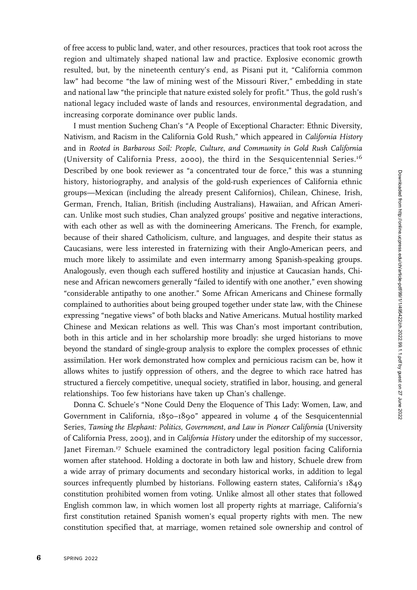of free access to public land, water, and other resources, practices that took root across the region and ultimately shaped national law and practice. Explosive economic growth resulted, but, by the nineteenth century's end, as Pisani put it, "California common law" had become "the law of mining west of the Missouri River," embedding in state and national law "the principle that nature existed solely for profit." Thus, the gold rush's national legacy included waste of lands and resources, environmental degradation, and increasing corporate dominance over public lands.

I must mention Sucheng Chan's "A People of Exceptional Character: Ethnic Diversity, Nativism, and Racism in the California Gold Rush," which appeared in California History and in Rooted in Barbarous Soil: People, Culture, and Community in Gold Rush California (University of California Press, 2000), the third in the Sesquicentennial Series.<sup>16</sup> Described by one book reviewer as "a concentrated tour de force," this was a stunning history, historiography, and analysis of the gold-rush experiences of California ethnic groups—Mexican (including the already present Californios), Chilean, Chinese, Irish, German, French, Italian, British (including Australians), Hawaiian, and African American. Unlike most such studies, Chan analyzed groups' positive and negative interactions, with each other as well as with the domineering Americans. The French, for example, because of their shared Catholicism, culture, and languages, and despite their status as Caucasians, were less interested in fraternizing with their Anglo-American peers, and much more likely to assimilate and even intermarry among Spanish-speaking groups. Analogously, even though each suffered hostility and injustice at Caucasian hands, Chinese and African newcomers generally "failed to identify with one another," even showing "considerable antipathy to one another." Some African Americans and Chinese formally complained to authorities about being grouped together under state law, with the Chinese expressing "negative views" of both blacks and Native Americans. Mutual hostility marked Chinese and Mexican relations as well. This was Chan's most important contribution, both in this article and in her scholarship more broadly: she urged historians to move beyond the standard of single-group analysis to explore the complex processes of ethnic assimilation. Her work demonstrated how complex and pernicious racism can be, how it allows whites to justify oppression of others, and the degree to which race hatred has structured a fiercely competitive, unequal society, stratified in labor, housing, and general relationships. Too few historians have taken up Chan's challenge.

Donna C. Schuele's "None Could Deny the Eloquence of This Lady: Women, Law, and Government in California, 1850–1890" appeared in volume 4 of the Sesquicentennial Series, Taming the Elephant: Politics, Government, and Law in Pioneer California (University of California Press, 2003), and in California History under the editorship of my successor, Janet Fireman.<sup>17</sup> Schuele examined the contradictory legal position facing California women after statehood. Holding a doctorate in both law and history, Schuele drew from a wide array of primary documents and secondary historical works, in addition to legal sources infrequently plumbed by historians. Following eastern states, California's 1849 constitution prohibited women from voting. Unlike almost all other states that followed English common law, in which women lost all property rights at marriage, California's first constitution retained Spanish women's equal property rights with men. The new constitution specified that, at marriage, women retained sole ownership and control of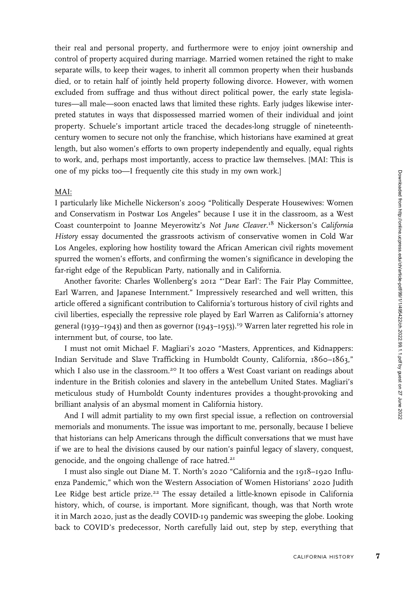their real and personal property, and furthermore were to enjoy joint ownership and control of property acquired during marriage. Married women retained the right to make separate wills, to keep their wages, to inherit all common property when their husbands died, or to retain half of jointly held property following divorce. However, with women excluded from suffrage and thus without direct political power, the early state legislatures—all male—soon enacted laws that limited these rights. Early judges likewise interpreted statutes in ways that dispossessed married women of their individual and joint property. Schuele's important article traced the decades-long struggle of nineteenthcentury women to secure not only the franchise, which historians have examined at great length, but also women's efforts to own property independently and equally, equal rights to work, and, perhaps most importantly, access to practice law themselves. [MAI: This is one of my picks too—I frequently cite this study in my own work.]

## MAI:

I particularly like Michelle Nickerson's 2009 "Politically Desperate Housewives: Women and Conservatism in Postwar Los Angeles" because I use it in the classroom, as a West Coast counterpoint to Joanne Meyerowitz's Not June Cleaver.<sup>18</sup> Nickerson's California History essay documented the grassroots activism of conservative women in Cold War Los Angeles, exploring how hostility toward the African American civil rights movement spurred the women's efforts, and confirming the women's significance in developing the far-right edge of the Republican Party, nationally and in California.

Another favorite: Charles Wollenberg's 2012 "'Dear Earl': The Fair Play Committee, Earl Warren, and Japanese Internment." Impressively researched and well written, this article offered a significant contribution to California's torturous history of civil rights and civil liberties, especially the repressive role played by Earl Warren as California's attorney general (1939–1943) and then as governor (1943–1953).<sup>19</sup> Warren later regretted his role in internment but, of course, too late.

I must not omit Michael F. Magliari's 2020 "Masters, Apprentices, and Kidnappers: Indian Servitude and Slave Trafficking in Humboldt County, California, 1860–1863," which I also use in the classroom.<sup>20</sup> It too offers a West Coast variant on readings about indenture in the British colonies and slavery in the antebellum United States. Magliari's meticulous study of Humboldt County indentures provides a thought-provoking and brilliant analysis of an abysmal moment in California history.

And I will admit partiality to my own first special issue, a reflection on controversial memorials and monuments. The issue was important to me, personally, because I believe that historians can help Americans through the difficult conversations that we must have if we are to heal the divisions caused by our nation's painful legacy of slavery, conquest, genocide, and the ongoing challenge of race hatred.<sup>21</sup>

I must also single out Diane M. T. North's 2020 "California and the 1918–1920 Influenza Pandemic," which won the Western Association of Women Historians' 2020 Judith Lee Ridge best article prize.<sup>22</sup> The essay detailed a little-known episode in California history, which, of course, is important. More significant, though, was that North wrote it in March 2020, just as the deadly COVID-19 pandemic was sweeping the globe. Looking back to COVID's predecessor, North carefully laid out, step by step, everything that